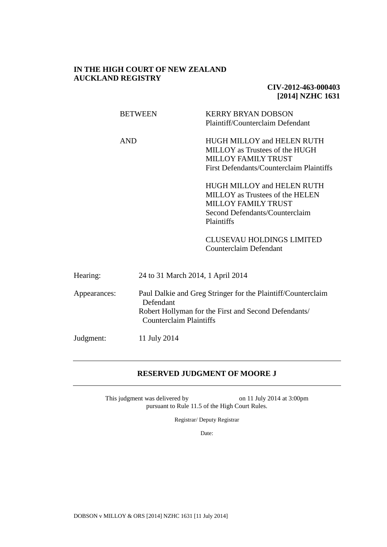# **IN THE HIGH COURT OF NEW ZEALAND AUCKLAND REGISTRY**

# **CIV-2012-463-000403 [2014] NZHC 1631**

|              | <b>BETWEEN</b> | <b>KERRY BRYAN DOBSON</b><br>Plaintiff/Counterclaim Defendant                                                                                          |  |  |
|--------------|----------------|--------------------------------------------------------------------------------------------------------------------------------------------------------|--|--|
|              | <b>AND</b>     | HUGH MILLOY and HELEN RUTH<br>MILLOY as Trustees of the HUGH<br><b>MILLOY FAMILY TRUST</b><br>First Defendants/Counterclaim Plaintiffs                 |  |  |
|              |                | <b>HUGH MILLOY and HELEN RUTH</b><br>MILLOY as Trustees of the HELEN<br><b>MILLOY FAMILY TRUST</b><br>Second Defendants/Counterclaim<br>Plaintiffs     |  |  |
|              |                | <b>CLUSEVAU HOLDINGS LIMITED</b><br>Counterclaim Defendant                                                                                             |  |  |
| Hearing:     |                | 24 to 31 March 2014, 1 April 2014                                                                                                                      |  |  |
| Appearances: | Defendant      | Paul Dalkie and Greg Stringer for the Plaintiff/Counterclaim<br>Robert Hollyman for the First and Second Defendants/<br><b>Counterclaim Plaintiffs</b> |  |  |
| Judgment:    | 11 July 2014   |                                                                                                                                                        |  |  |

# **RESERVED JUDGMENT OF MOORE J**

This judgment was delivered by on 11 July 2014 at 3:00pm pursuant to Rule 11.5 of the High Court Rules.

Registrar/ Deputy Registrar

Date:

DOBSON v MILLOY & ORS [2014] NZHC 1631 [11 July 2014]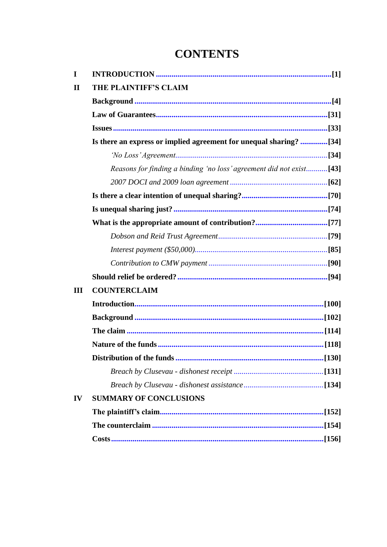# **CONTENTS**

| I            |                                                                     |  |
|--------------|---------------------------------------------------------------------|--|
| $\mathbf{I}$ | THE PLAINTIFF'S CLAIM                                               |  |
|              |                                                                     |  |
|              |                                                                     |  |
|              |                                                                     |  |
|              | Is there an express or implied agreement for unequal sharing? [34]  |  |
|              |                                                                     |  |
|              | Reasons for finding a binding 'no loss' agreement did not exist[43] |  |
|              |                                                                     |  |
|              |                                                                     |  |
|              |                                                                     |  |
|              |                                                                     |  |
|              |                                                                     |  |
|              |                                                                     |  |
|              |                                                                     |  |
|              |                                                                     |  |
| Ш            | <b>COUNTERCLAIM</b>                                                 |  |
|              |                                                                     |  |
|              |                                                                     |  |
|              |                                                                     |  |
|              |                                                                     |  |
|              |                                                                     |  |
|              |                                                                     |  |
|              |                                                                     |  |
| IV           | <b>SUMMARY OF CONCLUSIONS</b>                                       |  |
|              |                                                                     |  |
|              |                                                                     |  |
|              |                                                                     |  |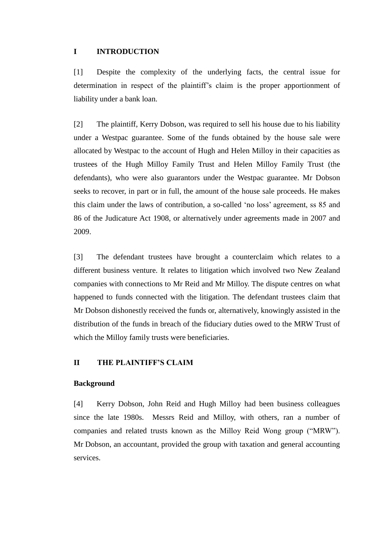# <span id="page-2-0"></span>**I INTRODUCTION**

<span id="page-2-1"></span>[1] Despite the complexity of the underlying facts, the central issue for determination in respect of the plaintiff's claim is the proper apportionment of liability under a bank loan.

[2] The plaintiff, Kerry Dobson, was required to sell his house due to his liability under a Westpac guarantee. Some of the funds obtained by the house sale were allocated by Westpac to the account of Hugh and Helen Milloy in their capacities as trustees of the Hugh Milloy Family Trust and Helen Milloy Family Trust (the defendants), who were also guarantors under the Westpac guarantee. Mr Dobson seeks to recover, in part or in full, the amount of the house sale proceeds. He makes this claim under the laws of contribution, a so-called 'no loss' agreement, ss 85 and 86 of the Judicature Act 1908, or alternatively under agreements made in 2007 and 2009.

[3] The defendant trustees have brought a counterclaim which relates to a different business venture. It relates to litigation which involved two New Zealand companies with connections to Mr Reid and Mr Milloy. The dispute centres on what happened to funds connected with the litigation. The defendant trustees claim that Mr Dobson dishonestly received the funds or, alternatively, knowingly assisted in the distribution of the funds in breach of the fiduciary duties owed to the MRW Trust of which the Milloy family trusts were beneficiaries.

# <span id="page-2-3"></span><span id="page-2-2"></span>**II THE PLAINTIFF'S CLAIM**

#### <span id="page-2-4"></span>**Background**

[4] Kerry Dobson, John Reid and Hugh Milloy had been business colleagues since the late 1980s. Messrs Reid and Milloy, with others, ran a number of companies and related trusts known as the Milloy Reid Wong group ("MRW"). Mr Dobson, an accountant, provided the group with taxation and general accounting services.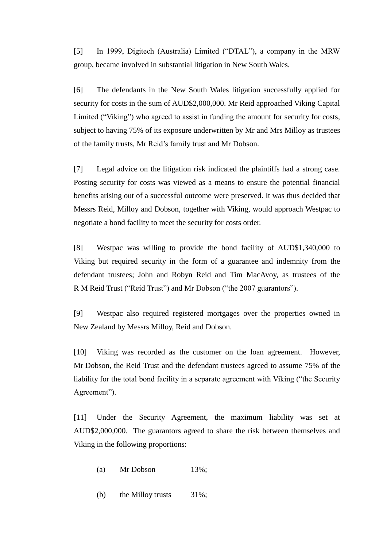[5] In 1999, Digitech (Australia) Limited ("DTAL"), a company in the MRW group, became involved in substantial litigation in New South Wales.

[6] The defendants in the New South Wales litigation successfully applied for security for costs in the sum of AUD\$2,000,000. Mr Reid approached Viking Capital Limited ("Viking") who agreed to assist in funding the amount for security for costs, subject to having 75% of its exposure underwritten by Mr and Mrs Milloy as trustees of the family trusts, Mr Reid's family trust and Mr Dobson.

[7] Legal advice on the litigation risk indicated the plaintiffs had a strong case. Posting security for costs was viewed as a means to ensure the potential financial benefits arising out of a successful outcome were preserved. It was thus decided that Messrs Reid, Milloy and Dobson, together with Viking, would approach Westpac to negotiate a bond facility to meet the security for costs order.

[8] Westpac was willing to provide the bond facility of AUD\$1,340,000 to Viking but required security in the form of a guarantee and indemnity from the defendant trustees; John and Robyn Reid and Tim MacAvoy, as trustees of the R M Reid Trust ("Reid Trust") and Mr Dobson ("the 2007 guarantors").

[9] Westpac also required registered mortgages over the properties owned in New Zealand by Messrs Milloy, Reid and Dobson.

[10] Viking was recorded as the customer on the loan agreement. However, Mr Dobson, the Reid Trust and the defendant trustees agreed to assume 75% of the liability for the total bond facility in a separate agreement with Viking ("the Security Agreement").

[11] Under the Security Agreement, the maximum liability was set at AUD\$2,000,000. The guarantors agreed to share the risk between themselves and Viking in the following proportions:

- (a) Mr Dobson  $13\%$ ;
- (b) the Milloy trusts 31%;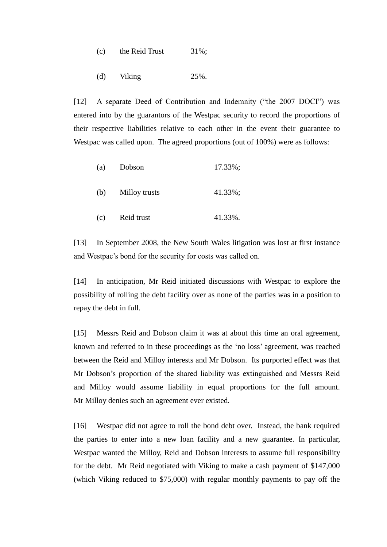- (c) the Reid Trust  $31\%$ ;
- (d) Viking 25%.

[12] A separate Deed of Contribution and Indemnity ("the 2007 DOCI") was entered into by the guarantors of the Westpac security to record the proportions of their respective liabilities relative to each other in the event their guarantee to Westpac was called upon. The agreed proportions (out of 100%) were as follows:

| (a) | Dobson        | 17.33%; |
|-----|---------------|---------|
| (b) | Milloy trusts | 41.33%; |
| (c) | Reid trust    | 41.33%. |

[13] In September 2008, the New South Wales litigation was lost at first instance and Westpac's bond for the security for costs was called on.

[14] In anticipation, Mr Reid initiated discussions with Westpac to explore the possibility of rolling the debt facility over as none of the parties was in a position to repay the debt in full.

[15] Messrs Reid and Dobson claim it was at about this time an oral agreement, known and referred to in these proceedings as the 'no loss' agreement, was reached between the Reid and Milloy interests and Mr Dobson. Its purported effect was that Mr Dobson's proportion of the shared liability was extinguished and Messrs Reid and Milloy would assume liability in equal proportions for the full amount. Mr Milloy denies such an agreement ever existed.

[16] Westpac did not agree to roll the bond debt over. Instead, the bank required the parties to enter into a new loan facility and a new guarantee. In particular, Westpac wanted the Milloy, Reid and Dobson interests to assume full responsibility for the debt. Mr Reid negotiated with Viking to make a cash payment of \$147,000 (which Viking reduced to \$75,000) with regular monthly payments to pay off the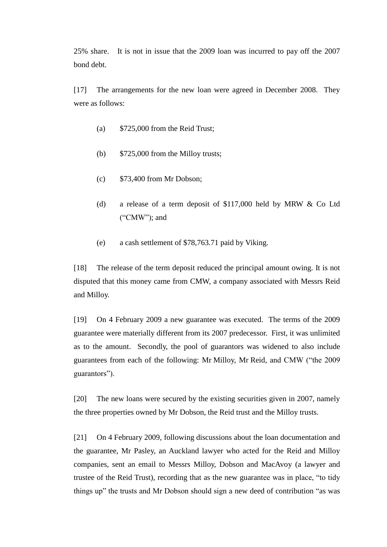25% share. It is not in issue that the 2009 loan was incurred to pay off the 2007 bond debt.

[17] The arrangements for the new loan were agreed in December 2008. They were as follows:

- (a) \$725,000 from the Reid Trust;
- (b) \$725,000 from the Milloy trusts;
- (c) \$73,400 from Mr Dobson;
- (d) a release of a term deposit of \$117,000 held by MRW & Co Ltd ("CMW"); and
- (e) a cash settlement of \$78,763.71 paid by Viking.

[18] The release of the term deposit reduced the principal amount owing. It is not disputed that this money came from CMW, a company associated with Messrs Reid and Milloy.

[19] On 4 February 2009 a new guarantee was executed. The terms of the 2009 guarantee were materially different from its 2007 predecessor. First, it was unlimited as to the amount. Secondly, the pool of guarantors was widened to also include guarantees from each of the following: Mr Milloy, Mr Reid, and CMW ("the 2009 guarantors").

[20] The new loans were secured by the existing securities given in 2007, namely the three properties owned by Mr Dobson, the Reid trust and the Milloy trusts.

[21] On 4 February 2009, following discussions about the loan documentation and the guarantee, Mr Pasley, an Auckland lawyer who acted for the Reid and Milloy companies, sent an email to Messrs Milloy, Dobson and MacAvoy (a lawyer and trustee of the Reid Trust), recording that as the new guarantee was in place, "to tidy things up" the trusts and Mr Dobson should sign a new deed of contribution "as was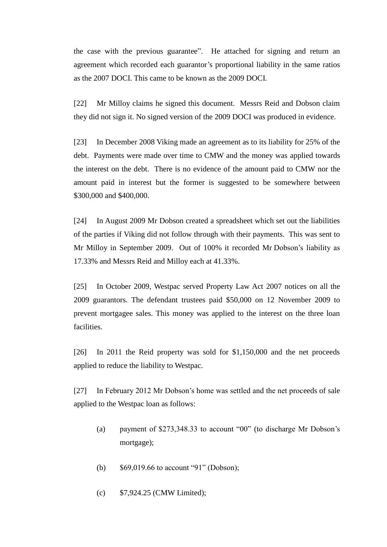the case with the previous guarantee". He attached for signing and return an agreement which recorded each guarantor's proportional liability in the same ratios as the 2007 DOCI. This came to be known as the 2009 DOCI.

[22] Mr Milloy claims he signed this document. Messrs Reid and Dobson claim they did not sign it. No signed version of the 2009 DOCI was produced in evidence.

[23] In December 2008 Viking made an agreement as to its liability for 25% of the debt. Payments were made over time to CMW and the money was applied towards the interest on the debt. There is no evidence of the amount paid to CMW nor the amount paid in interest but the former is suggested to be somewhere between \$300,000 and \$400,000.

[24] In August 2009 Mr Dobson created a spreadsheet which set out the liabilities of the parties if Viking did not follow through with their payments. This was sent to Mr Milloy in September 2009. Out of 100% it recorded Mr Dobson's liability as 17.33% and Messrs Reid and Milloy each at 41.33%.

[25] In October 2009, Westpac served Property Law Act 2007 notices on all the 2009 guarantors. The defendant trustees paid \$50,000 on 12 November 2009 to prevent mortgagee sales. This money was applied to the interest on the three loan facilities.

[26] In 2011 the Reid property was sold for \$1,150,000 and the net proceeds applied to reduce the liability to Westpac.

[27] In February 2012 Mr Dobson's home was settled and the net proceeds of sale applied to the Westpac loan as follows:

- (a) payment of \$273,348.33 to account "00" (to discharge Mr Dobson's mortgage);
- (b) \$69,019.66 to account "91" (Dobson);
- (c) \$7,924.25 (CMW Limited);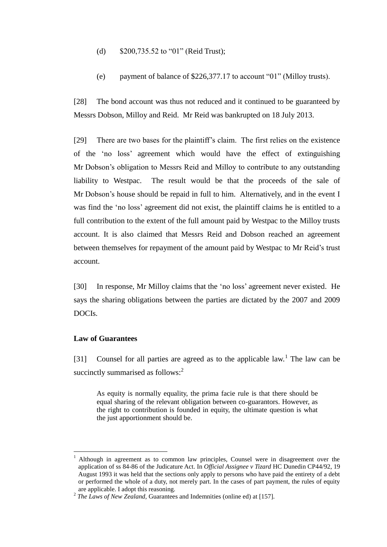- (d) \$200,735.52 to "01" (Reid Trust);
- (e) payment of balance of \$226,377.17 to account "01" (Milloy trusts).

[28] The bond account was thus not reduced and it continued to be guaranteed by Messrs Dobson, Milloy and Reid. Mr Reid was bankrupted on 18 July 2013.

[29] There are two bases for the plaintiff's claim. The first relies on the existence of the 'no loss' agreement which would have the effect of extinguishing Mr Dobson's obligation to Messrs Reid and Milloy to contribute to any outstanding liability to Westpac. The result would be that the proceeds of the sale of Mr Dobson's house should be repaid in full to him. Alternatively, and in the event I was find the 'no loss' agreement did not exist, the plaintiff claims he is entitled to a full contribution to the extent of the full amount paid by Westpac to the Milloy trusts account. It is also claimed that Messrs Reid and Dobson reached an agreement between themselves for repayment of the amount paid by Westpac to Mr Reid's trust account.

[30] In response, Mr Milloy claims that the 'no loss' agreement never existed. He says the sharing obligations between the parties are dictated by the 2007 and 2009 DOCIs.

# <span id="page-7-1"></span><span id="page-7-0"></span>**Law of Guarantees**

 $\overline{a}$ 

[31] Counsel for all parties are agreed as to the applicable  $law$ . The law can be succinctly summarised as follows:<sup>2</sup>

As equity is normally equality, the prima facie rule is that there should be equal sharing of the relevant obligation between co-guarantors. However, as the right to contribution is founded in equity, the ultimate question is what the just apportionment should be.

<sup>1</sup> Although in agreement as to common law principles, Counsel were in disagreement over the application of ss 84-86 of the Judicature Act. In *Official Assignee v Tizard* HC Dunedin CP44/92, 19 August 1993 it was held that the sections only apply to persons who have paid the entirety of a debt or performed the whole of a duty, not merely part. In the cases of part payment, the rules of equity are applicable. I adopt this reasoning.

<sup>&</sup>lt;sup>2</sup> The Laws of New Zealand, Guarantees and Indemnities (online ed) at [157].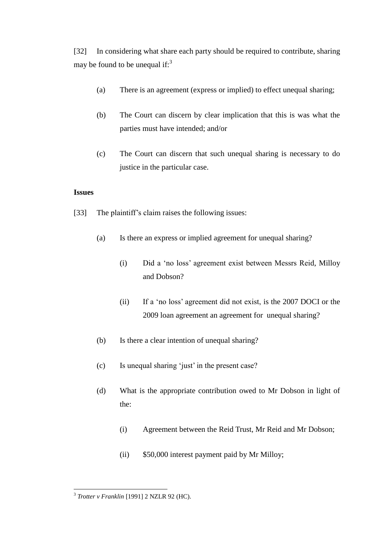[32] In considering what share each party should be required to contribute, sharing may be found to be unequal if: $3<sup>3</sup>$ 

- (a) There is an agreement (express or implied) to effect unequal sharing;
- (b) The Court can discern by clear implication that this is was what the parties must have intended; and/or
- (c) The Court can discern that such unequal sharing is necessary to do justice in the particular case.

# <span id="page-8-1"></span><span id="page-8-0"></span>**Issues**

- [33] The plaintiff's claim raises the following issues:
	- (a) Is there an express or implied agreement for unequal sharing?
		- (i) Did a 'no loss' agreement exist between Messrs Reid, Milloy and Dobson?
		- (ii) If a 'no loss' agreement did not exist, is the 2007 DOCI or the 2009 loan agreement an agreement for unequal sharing?
	- (b) Is there a clear intention of unequal sharing?
	- (c) Is unequal sharing 'just' in the present case?
	- (d) What is the appropriate contribution owed to Mr Dobson in light of the:
		- (i) Agreement between the Reid Trust, Mr Reid and Mr Dobson;
		- (ii) \$50,000 interest payment paid by Mr Milloy;

 3 *Trotter v Franklin* [1991] 2 NZLR 92 (HC).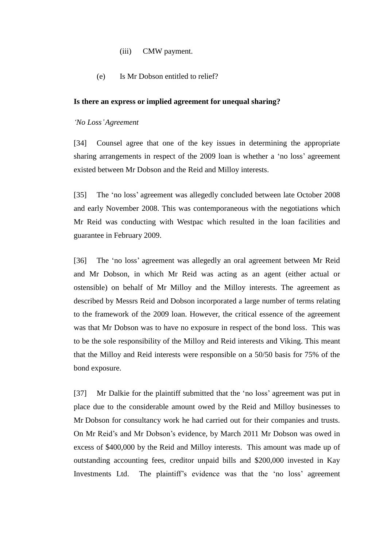# (iii) CMW payment.

(e) Is Mr Dobson entitled to relief?

#### <span id="page-9-2"></span><span id="page-9-0"></span>**Is there an express or implied agreement for unequal sharing?**

#### <span id="page-9-1"></span>*'No Loss'Agreement*

[34] Counsel agree that one of the key issues in determining the appropriate sharing arrangements in respect of the 2009 loan is whether a 'no loss' agreement existed between Mr Dobson and the Reid and Milloy interests.

[35] The 'no loss' agreement was allegedly concluded between late October 2008 and early November 2008. This was contemporaneous with the negotiations which Mr Reid was conducting with Westpac which resulted in the loan facilities and guarantee in February 2009.

[36] The 'no loss' agreement was allegedly an oral agreement between Mr Reid and Mr Dobson, in which Mr Reid was acting as an agent (either actual or ostensible) on behalf of Mr Milloy and the Milloy interests. The agreement as described by Messrs Reid and Dobson incorporated a large number of terms relating to the framework of the 2009 loan. However, the critical essence of the agreement was that Mr Dobson was to have no exposure in respect of the bond loss. This was to be the sole responsibility of the Milloy and Reid interests and Viking. This meant that the Milloy and Reid interests were responsible on a 50/50 basis for 75% of the bond exposure.

[37] Mr Dalkie for the plaintiff submitted that the 'no loss' agreement was put in place due to the considerable amount owed by the Reid and Milloy businesses to Mr Dobson for consultancy work he had carried out for their companies and trusts. On Mr Reid's and Mr Dobson's evidence, by March 2011 Mr Dobson was owed in excess of \$400,000 by the Reid and Milloy interests. This amount was made up of outstanding accounting fees, creditor unpaid bills and \$200,000 invested in Kay Investments Ltd. The plaintiff's evidence was that the 'no loss' agreement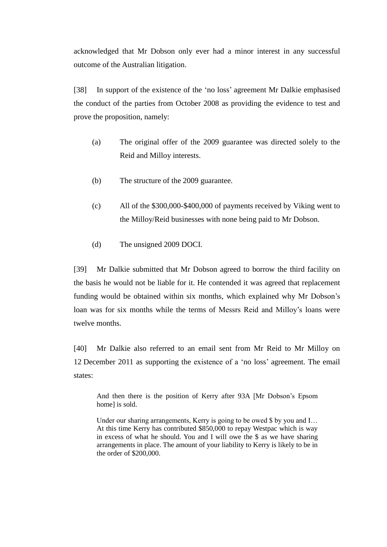acknowledged that Mr Dobson only ever had a minor interest in any successful outcome of the Australian litigation.

[38] In support of the existence of the 'no loss' agreement Mr Dalkie emphasised the conduct of the parties from October 2008 as providing the evidence to test and prove the proposition, namely:

- (a) The original offer of the 2009 guarantee was directed solely to the Reid and Milloy interests.
- (b) The structure of the 2009 guarantee.
- (c) All of the \$300,000-\$400,000 of payments received by Viking went to the Milloy/Reid businesses with none being paid to Mr Dobson.
- (d) The unsigned 2009 DOCI.

[39] Mr Dalkie submitted that Mr Dobson agreed to borrow the third facility on the basis he would not be liable for it. He contended it was agreed that replacement funding would be obtained within six months, which explained why Mr Dobson's loan was for six months while the terms of Messrs Reid and Milloy's loans were twelve months.

[40] Mr Dalkie also referred to an email sent from Mr Reid to Mr Milloy on 12 December 2011 as supporting the existence of a 'no loss' agreement. The email states:

And then there is the position of Kerry after 93A [Mr Dobson's Epsom home] is sold.

Under our sharing arrangements, Kerry is going to be owed \$ by you and I... At this time Kerry has contributed \$850,000 to repay Westpac which is way in excess of what he should. You and I will owe the \$ as we have sharing arrangements in place. The amount of your liability to Kerry is likely to be in the order of \$200,000.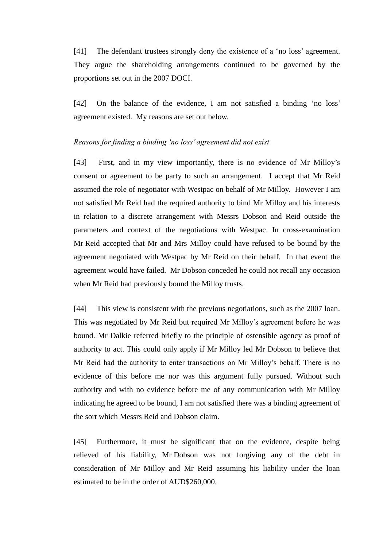[41] The defendant trustees strongly deny the existence of a 'no loss' agreement. They argue the shareholding arrangements continued to be governed by the proportions set out in the 2007 DOCI.

[42] On the balance of the evidence, I am not satisfied a binding 'no loss' agreement existed. My reasons are set out below.

#### <span id="page-11-1"></span><span id="page-11-0"></span>*Reasons for finding a binding 'no loss' agreement did not exist*

[43] First, and in my view importantly, there is no evidence of Mr Milloy's consent or agreement to be party to such an arrangement. I accept that Mr Reid assumed the role of negotiator with Westpac on behalf of Mr Milloy. However I am not satisfied Mr Reid had the required authority to bind Mr Milloy and his interests in relation to a discrete arrangement with Messrs Dobson and Reid outside the parameters and context of the negotiations with Westpac. In cross-examination Mr Reid accepted that Mr and Mrs Milloy could have refused to be bound by the agreement negotiated with Westpac by Mr Reid on their behalf. In that event the agreement would have failed. Mr Dobson conceded he could not recall any occasion when Mr Reid had previously bound the Milloy trusts.

[44] This view is consistent with the previous negotiations, such as the 2007 loan. This was negotiated by Mr Reid but required Mr Milloy's agreement before he was bound. Mr Dalkie referred briefly to the principle of ostensible agency as proof of authority to act. This could only apply if Mr Milloy led Mr Dobson to believe that Mr Reid had the authority to enter transactions on Mr Milloy's behalf. There is no evidence of this before me nor was this argument fully pursued. Without such authority and with no evidence before me of any communication with Mr Milloy indicating he agreed to be bound, I am not satisfied there was a binding agreement of the sort which Messrs Reid and Dobson claim.

[45] Furthermore, it must be significant that on the evidence, despite being relieved of his liability, Mr Dobson was not forgiving any of the debt in consideration of Mr Milloy and Mr Reid assuming his liability under the loan estimated to be in the order of AUD\$260,000.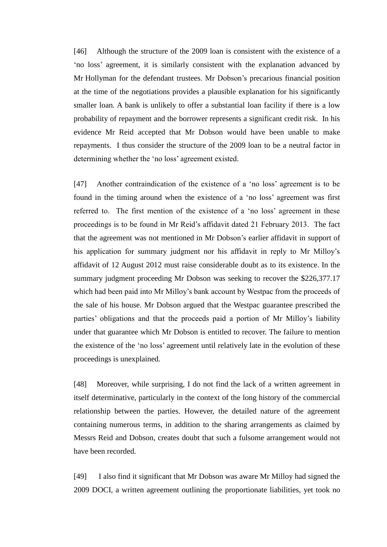[46] Although the structure of the 2009 loan is consistent with the existence of a 'no loss' agreement, it is similarly consistent with the explanation advanced by Mr Hollyman for the defendant trustees. Mr Dobson's precarious financial position at the time of the negotiations provides a plausible explanation for his significantly smaller loan. A bank is unlikely to offer a substantial loan facility if there is a low probability of repayment and the borrower represents a significant credit risk. In his evidence Mr Reid accepted that Mr Dobson would have been unable to make repayments. I thus consider the structure of the 2009 loan to be a neutral factor in determining whether the 'no loss' agreement existed.

[47] Another contraindication of the existence of a 'no loss' agreement is to be found in the timing around when the existence of a 'no loss' agreement was first referred to. The first mention of the existence of a 'no loss' agreement in these proceedings is to be found in Mr Reid's affidavit dated 21 February 2013. The fact that the agreement was not mentioned in Mr Dobson's earlier affidavit in support of his application for summary judgment nor his affidavit in reply to Mr Milloy's affidavit of 12 August 2012 must raise considerable doubt as to its existence. In the summary judgment proceeding Mr Dobson was seeking to recover the \$226,377.17 which had been paid into Mr Milloy's bank account by Westpac from the proceeds of the sale of his house. Mr Dobson argued that the Westpac guarantee prescribed the parties' obligations and that the proceeds paid a portion of Mr Milloy's liability under that guarantee which Mr Dobson is entitled to recover. The failure to mention the existence of the 'no loss' agreement until relatively late in the evolution of these proceedings is unexplained.

[48] Moreover, while surprising, I do not find the lack of a written agreement in itself determinative, particularly in the context of the long history of the commercial relationship between the parties. However, the detailed nature of the agreement containing numerous terms, in addition to the sharing arrangements as claimed by Messrs Reid and Dobson, creates doubt that such a fulsome arrangement would not have been recorded.

[49] I also find it significant that Mr Dobson was aware Mr Milloy had signed the 2009 DOCI, a written agreement outlining the proportionate liabilities, yet took no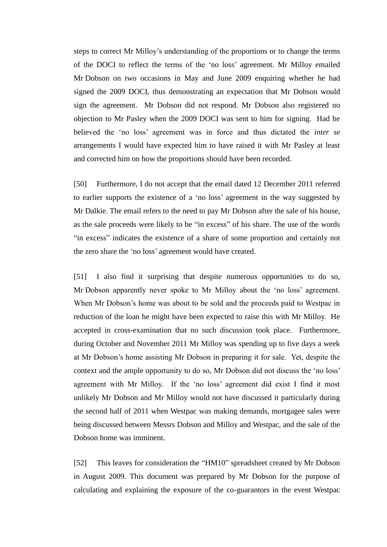steps to correct Mr Milloy's understanding of the proportions or to change the terms of the DOCI to reflect the terms of the 'no loss' agreement. Mr Milloy emailed Mr Dobson on two occasions in May and June 2009 enquiring whether he had signed the 2009 DOCI, thus demonstrating an expectation that Mr Dobson would sign the agreement. Mr Dobson did not respond. Mr Dobson also registered no objection to Mr Pasley when the 2009 DOCI was sent to him for signing. Had he believed the 'no loss' agreement was in force and thus dictated the *inter se*  arrangements I would have expected him to have raised it with Mr Pasley at least and corrected him on how the proportions should have been recorded.

[50] Furthermore, I do not accept that the email dated 12 December 2011 referred to earlier supports the existence of a 'no loss' agreement in the way suggested by Mr Dalkie. The email refers to the need to pay Mr Dobson after the sale of his house, as the sale proceeds were likely to be "in excess" of his share. The use of the words "in excess" indicates the existence of a share of some proportion and certainly not the zero share the 'no loss' agreement would have created.

[51] I also find it surprising that despite numerous opportunities to do so, Mr Dobson apparently never spoke to Mr Milloy about the 'no loss' agreement. When Mr Dobson's home was about to be sold and the proceeds paid to Westpac in reduction of the loan he might have been expected to raise this with Mr Milloy. He accepted in cross-examination that no such discussion took place. Furthermore, during October and November 2011 Mr Milloy was spending up to five days a week at Mr Dobson's home assisting Mr Dobson in preparing it for sale. Yet, despite the context and the ample opportunity to do so, Mr Dobson did not discuss the 'no loss' agreement with Mr Milloy. If the 'no loss' agreement did exist I find it most unlikely Mr Dobson and Mr Milloy would not have discussed it particularly during the second half of 2011 when Westpac was making demands, mortgagee sales were being discussed between Messrs Dobson and Milloy and Westpac, and the sale of the Dobson home was imminent.

[52] This leaves for consideration the "HM10" spreadsheet created by Mr Dobson in August 2009. This document was prepared by Mr Dobson for the purpose of calculating and explaining the exposure of the co-guarantors in the event Westpac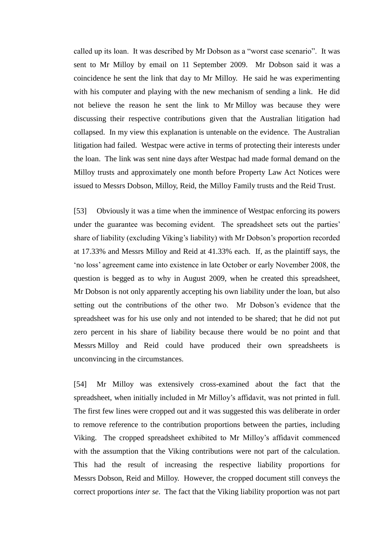called up its loan. It was described by Mr Dobson as a "worst case scenario". It was sent to Mr Milloy by email on 11 September 2009. Mr Dobson said it was a coincidence he sent the link that day to Mr Milloy. He said he was experimenting with his computer and playing with the new mechanism of sending a link. He did not believe the reason he sent the link to Mr Milloy was because they were discussing their respective contributions given that the Australian litigation had collapsed. In my view this explanation is untenable on the evidence. The Australian litigation had failed. Westpac were active in terms of protecting their interests under the loan. The link was sent nine days after Westpac had made formal demand on the Milloy trusts and approximately one month before Property Law Act Notices were issued to Messrs Dobson, Milloy, Reid, the Milloy Family trusts and the Reid Trust.

[53] Obviously it was a time when the imminence of Westpac enforcing its powers under the guarantee was becoming evident. The spreadsheet sets out the parties' share of liability (excluding Viking's liability) with Mr Dobson's proportion recorded at 17.33% and Messrs Milloy and Reid at 41.33% each. If, as the plaintiff says, the 'no loss' agreement came into existence in late October or early November 2008, the question is begged as to why in August 2009, when he created this spreadsheet, Mr Dobson is not only apparently accepting his own liability under the loan, but also setting out the contributions of the other two. Mr Dobson's evidence that the spreadsheet was for his use only and not intended to be shared; that he did not put zero percent in his share of liability because there would be no point and that Messrs Milloy and Reid could have produced their own spreadsheets is unconvincing in the circumstances.

[54] Mr Milloy was extensively cross-examined about the fact that the spreadsheet, when initially included in Mr Milloy's affidavit, was not printed in full. The first few lines were cropped out and it was suggested this was deliberate in order to remove reference to the contribution proportions between the parties, including Viking. The cropped spreadsheet exhibited to Mr Milloy's affidavit commenced with the assumption that the Viking contributions were not part of the calculation. This had the result of increasing the respective liability proportions for Messrs Dobson, Reid and Milloy. However, the cropped document still conveys the correct proportions *inter se*. The fact that the Viking liability proportion was not part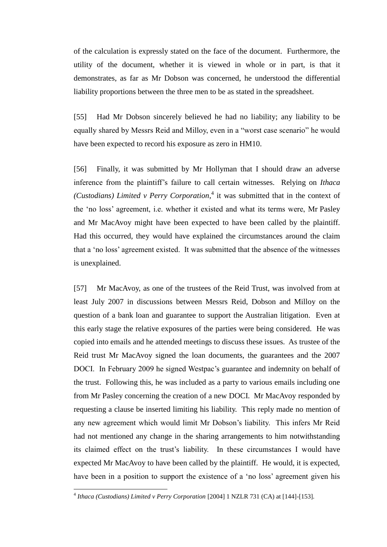of the calculation is expressly stated on the face of the document. Furthermore, the utility of the document, whether it is viewed in whole or in part, is that it demonstrates, as far as Mr Dobson was concerned, he understood the differential liability proportions between the three men to be as stated in the spreadsheet.

[55] Had Mr Dobson sincerely believed he had no liability; any liability to be equally shared by Messrs Reid and Milloy, even in a "worst case scenario" he would have been expected to record his exposure as zero in HM10.

[56] Finally, it was submitted by Mr Hollyman that I should draw an adverse inference from the plaintiff's failure to call certain witnesses. Relying on *Ithaca (Custodians) Limited v Perry Corporation*, 4 it was submitted that in the context of the 'no loss' agreement, i.e. whether it existed and what its terms were, Mr Pasley and Mr MacAvoy might have been expected to have been called by the plaintiff. Had this occurred, they would have explained the circumstances around the claim that a 'no loss' agreement existed. It was submitted that the absence of the witnesses is unexplained.

[57] Mr MacAvoy, as one of the trustees of the Reid Trust, was involved from at least July 2007 in discussions between Messrs Reid, Dobson and Milloy on the question of a bank loan and guarantee to support the Australian litigation. Even at this early stage the relative exposures of the parties were being considered. He was copied into emails and he attended meetings to discuss these issues. As trustee of the Reid trust Mr MacAvoy signed the loan documents, the guarantees and the 2007 DOCI. In February 2009 he signed Westpac's guarantee and indemnity on behalf of the trust. Following this, he was included as a party to various emails including one from Mr Pasley concerning the creation of a new DOCI. Mr MacAvoy responded by requesting a clause be inserted limiting his liability. This reply made no mention of any new agreement which would limit Mr Dobson's liability. This infers Mr Reid had not mentioned any change in the sharing arrangements to him notwithstanding its claimed effect on the trust's liability. In these circumstances I would have expected Mr MacAvoy to have been called by the plaintiff. He would, it is expected, have been in a position to support the existence of a 'no loss' agreement given his

 4 *Ithaca (Custodians) Limited v Perry Corporation* [2004] 1 NZLR 731 (CA) at [144]-[153].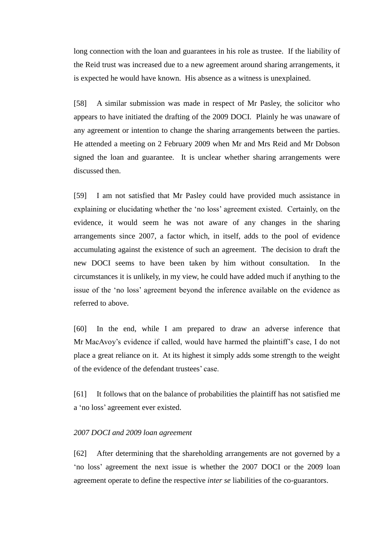long connection with the loan and guarantees in his role as trustee. If the liability of the Reid trust was increased due to a new agreement around sharing arrangements, it is expected he would have known. His absence as a witness is unexplained.

[58] A similar submission was made in respect of Mr Pasley, the solicitor who appears to have initiated the drafting of the 2009 DOCI. Plainly he was unaware of any agreement or intention to change the sharing arrangements between the parties. He attended a meeting on 2 February 2009 when Mr and Mrs Reid and Mr Dobson signed the loan and guarantee. It is unclear whether sharing arrangements were discussed then.

[59] I am not satisfied that Mr Pasley could have provided much assistance in explaining or elucidating whether the 'no loss' agreement existed. Certainly, on the evidence, it would seem he was not aware of any changes in the sharing arrangements since 2007, a factor which, in itself, adds to the pool of evidence accumulating against the existence of such an agreement. The decision to draft the new DOCI seems to have been taken by him without consultation. In the circumstances it is unlikely, in my view, he could have added much if anything to the issue of the 'no loss' agreement beyond the inference available on the evidence as referred to above.

[60] In the end, while I am prepared to draw an adverse inference that Mr MacAvoy's evidence if called, would have harmed the plaintiff's case, I do not place a great reliance on it. At its highest it simply adds some strength to the weight of the evidence of the defendant trustees' case.

[61] It follows that on the balance of probabilities the plaintiff has not satisfied me a 'no loss' agreement ever existed.

# <span id="page-16-1"></span><span id="page-16-0"></span>*2007 DOCI and 2009 loan agreement*

[62] After determining that the shareholding arrangements are not governed by a 'no loss' agreement the next issue is whether the 2007 DOCI or the 2009 loan agreement operate to define the respective *inter se* liabilities of the co-guarantors.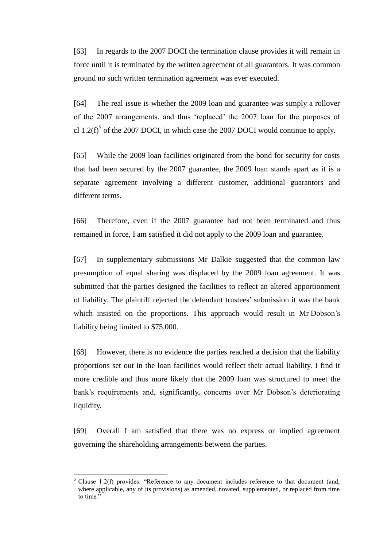[63] In regards to the 2007 DOCI the termination clause provides it will remain in force until it is terminated by the written agreement of all guarantors. It was common ground no such written termination agreement was ever executed.

[64] The real issue is whether the 2009 loan and guarantee was simply a rollover of the 2007 arrangements, and thus 'replaced' the 2007 loan for the purposes of cl  $1.2(f)^5$  of the 2007 DOCI, in which case the 2007 DOCI would continue to apply.

[65] While the 2009 loan facilities originated from the bond for security for costs that had been secured by the 2007 guarantee, the 2009 loan stands apart as it is a separate agreement involving a different customer, additional guarantors and different terms.

[66] Therefore, even if the 2007 guarantee had not been terminated and thus remained in force, I am satisfied it did not apply to the 2009 loan and guarantee.

[67] In supplementary submissions Mr Dalkie suggested that the common law presumption of equal sharing was displaced by the 2009 loan agreement. It was submitted that the parties designed the facilities to reflect an altered apportionment of liability. The plaintiff rejected the defendant trustees' submission it was the bank which insisted on the proportions. This approach would result in Mr Dobson's liability being limited to \$75,000.

[68] However, there is no evidence the parties reached a decision that the liability proportions set out in the loan facilities would reflect their actual liability. I find it more credible and thus more likely that the 2009 loan was structured to meet the bank's requirements and, significantly, concerns over Mr Dobson's deteriorating liquidity.

[69] Overall I am satisfied that there was no express or implied agreement governing the shareholding arrangements between the parties.

Clause 1.2(f) provides: "Reference to any document includes reference to that document (and, where applicable, any of its provisions) as amended, novated, supplemented, or replaced from time to time."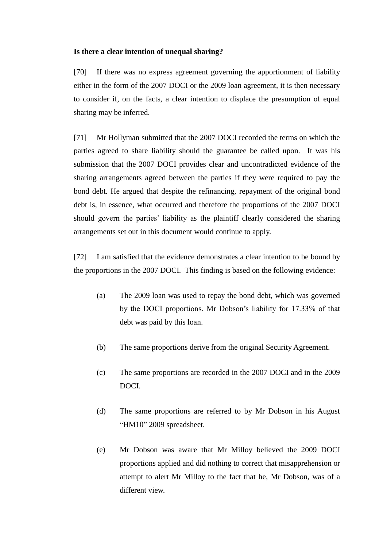# <span id="page-18-1"></span><span id="page-18-0"></span>**Is there a clear intention of unequal sharing?**

[70] If there was no express agreement governing the apportionment of liability either in the form of the 2007 DOCI or the 2009 loan agreement, it is then necessary to consider if, on the facts, a clear intention to displace the presumption of equal sharing may be inferred.

[71] Mr Hollyman submitted that the 2007 DOCI recorded the terms on which the parties agreed to share liability should the guarantee be called upon. It was his submission that the 2007 DOCI provides clear and uncontradicted evidence of the sharing arrangements agreed between the parties if they were required to pay the bond debt. He argued that despite the refinancing, repayment of the original bond debt is, in essence, what occurred and therefore the proportions of the 2007 DOCI should govern the parties' liability as the plaintiff clearly considered the sharing arrangements set out in this document would continue to apply.

[72] I am satisfied that the evidence demonstrates a clear intention to be bound by the proportions in the 2007 DOCI. This finding is based on the following evidence:

- (a) The 2009 loan was used to repay the bond debt, which was governed by the DOCI proportions. Mr Dobson's liability for 17.33% of that debt was paid by this loan.
- (b) The same proportions derive from the original Security Agreement.
- (c) The same proportions are recorded in the 2007 DOCI and in the 2009 DOCI.
- (d) The same proportions are referred to by Mr Dobson in his August "HM10" 2009 spreadsheet.
- (e) Mr Dobson was aware that Mr Milloy believed the 2009 DOCI proportions applied and did nothing to correct that misapprehension or attempt to alert Mr Milloy to the fact that he, Mr Dobson, was of a different view.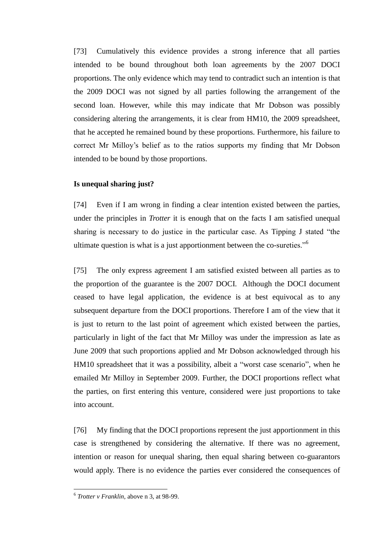[73] Cumulatively this evidence provides a strong inference that all parties intended to be bound throughout both loan agreements by the 2007 DOCI proportions. The only evidence which may tend to contradict such an intention is that the 2009 DOCI was not signed by all parties following the arrangement of the second loan. However, while this may indicate that Mr Dobson was possibly considering altering the arrangements, it is clear from HM10, the 2009 spreadsheet, that he accepted he remained bound by these proportions. Furthermore, his failure to correct Mr Milloy's belief as to the ratios supports my finding that Mr Dobson intended to be bound by those proportions.

# <span id="page-19-1"></span><span id="page-19-0"></span>**Is unequal sharing just?**

[74] Even if I am wrong in finding a clear intention existed between the parties, under the principles in *Trotter* it is enough that on the facts I am satisfied unequal sharing is necessary to do justice in the particular case. As Tipping J stated "the ultimate question is what is a just apportionment between the co-sureties."<sup>6</sup>

[75] The only express agreement I am satisfied existed between all parties as to the proportion of the guarantee is the 2007 DOCI. Although the DOCI document ceased to have legal application, the evidence is at best equivocal as to any subsequent departure from the DOCI proportions. Therefore I am of the view that it is just to return to the last point of agreement which existed between the parties, particularly in light of the fact that Mr Milloy was under the impression as late as June 2009 that such proportions applied and Mr Dobson acknowledged through his HM10 spreadsheet that it was a possibility, albeit a "worst case scenario", when he emailed Mr Milloy in September 2009. Further, the DOCI proportions reflect what the parties, on first entering this venture, considered were just proportions to take into account.

[76] My finding that the DOCI proportions represent the just apportionment in this case is strengthened by considering the alternative. If there was no agreement, intention or reason for unequal sharing, then equal sharing between co-guarantors would apply. There is no evidence the parties ever considered the consequences of

 6 *Trotter v Franklin,* above n 3, at 98-99.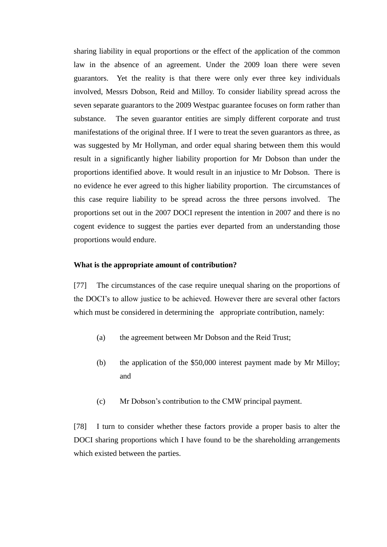sharing liability in equal proportions or the effect of the application of the common law in the absence of an agreement. Under the 2009 loan there were seven guarantors. Yet the reality is that there were only ever three key individuals involved, Messrs Dobson, Reid and Milloy. To consider liability spread across the seven separate guarantors to the 2009 Westpac guarantee focuses on form rather than substance. The seven guarantor entities are simply different corporate and trust manifestations of the original three. If I were to treat the seven guarantors as three, as was suggested by Mr Hollyman, and order equal sharing between them this would result in a significantly higher liability proportion for Mr Dobson than under the proportions identified above. It would result in an injustice to Mr Dobson. There is no evidence he ever agreed to this higher liability proportion. The circumstances of this case require liability to be spread across the three persons involved. The proportions set out in the 2007 DOCI represent the intention in 2007 and there is no cogent evidence to suggest the parties ever departed from an understanding those proportions would endure.

#### <span id="page-20-1"></span><span id="page-20-0"></span>**What is the appropriate amount of contribution?**

[77] The circumstances of the case require unequal sharing on the proportions of the DOCI's to allow justice to be achieved. However there are several other factors which must be considered in determining the appropriate contribution, namely:

- (a) the agreement between Mr Dobson and the Reid Trust;
- (b) the application of the \$50,000 interest payment made by Mr Milloy; and
- (c) Mr Dobson's contribution to the CMW principal payment.

[78] I turn to consider whether these factors provide a proper basis to alter the DOCI sharing proportions which I have found to be the shareholding arrangements which existed between the parties.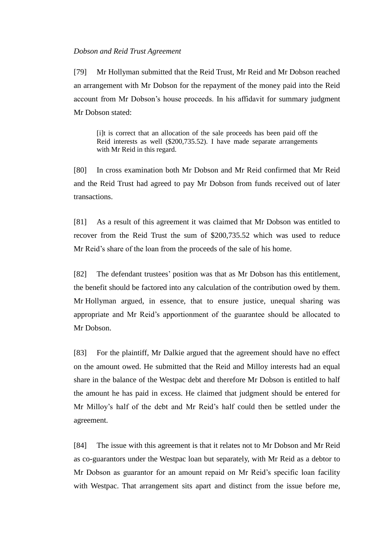#### <span id="page-21-1"></span><span id="page-21-0"></span>*Dobson and Reid Trust Agreement*

[79] Mr Hollyman submitted that the Reid Trust, Mr Reid and Mr Dobson reached an arrangement with Mr Dobson for the repayment of the money paid into the Reid account from Mr Dobson's house proceeds. In his affidavit for summary judgment Mr Dobson stated:

[i]t is correct that an allocation of the sale proceeds has been paid off the Reid interests as well (\$200,735.52). I have made separate arrangements with Mr Reid in this regard.

[80] In cross examination both Mr Dobson and Mr Reid confirmed that Mr Reid and the Reid Trust had agreed to pay Mr Dobson from funds received out of later transactions.

[81] As a result of this agreement it was claimed that Mr Dobson was entitled to recover from the Reid Trust the sum of \$200,735.52 which was used to reduce Mr Reid's share of the loan from the proceeds of the sale of his home.

[82] The defendant trustees' position was that as Mr Dobson has this entitlement, the benefit should be factored into any calculation of the contribution owed by them. Mr Hollyman argued, in essence, that to ensure justice, unequal sharing was appropriate and Mr Reid's apportionment of the guarantee should be allocated to Mr Dobson.

[83] For the plaintiff, Mr Dalkie argued that the agreement should have no effect on the amount owed. He submitted that the Reid and Milloy interests had an equal share in the balance of the Westpac debt and therefore Mr Dobson is entitled to half the amount he has paid in excess. He claimed that judgment should be entered for Mr Milloy's half of the debt and Mr Reid's half could then be settled under the agreement.

[84] The issue with this agreement is that it relates not to Mr Dobson and Mr Reid as co-guarantors under the Westpac loan but separately, with Mr Reid as a debtor to Mr Dobson as guarantor for an amount repaid on Mr Reid's specific loan facility with Westpac. That arrangement sits apart and distinct from the issue before me,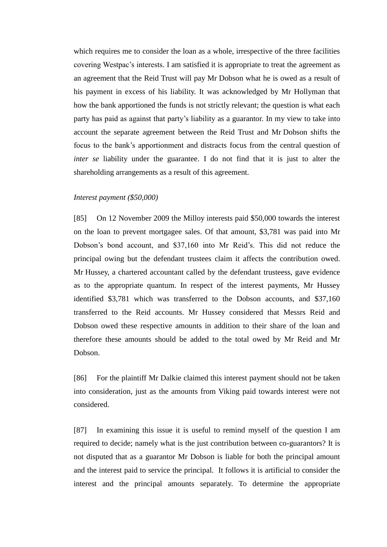which requires me to consider the loan as a whole, irrespective of the three facilities covering Westpac's interests. I am satisfied it is appropriate to treat the agreement as an agreement that the Reid Trust will pay Mr Dobson what he is owed as a result of his payment in excess of his liability. It was acknowledged by Mr Hollyman that how the bank apportioned the funds is not strictly relevant; the question is what each party has paid as against that party's liability as a guarantor. In my view to take into account the separate agreement between the Reid Trust and Mr Dobson shifts the focus to the bank's apportionment and distracts focus from the central question of *inter se* liability under the guarantee. I do not find that it is just to alter the shareholding arrangements as a result of this agreement.

#### <span id="page-22-1"></span><span id="page-22-0"></span>*Interest payment (\$50,000)*

[85] On 12 November 2009 the Milloy interests paid \$50,000 towards the interest on the loan to prevent mortgagee sales. Of that amount, \$3,781 was paid into Mr Dobson's bond account, and \$37,160 into Mr Reid's. This did not reduce the principal owing but the defendant trustees claim it affects the contribution owed. Mr Hussey, a chartered accountant called by the defendant trusteess, gave evidence as to the appropriate quantum. In respect of the interest payments, Mr Hussey identified \$3,781 which was transferred to the Dobson accounts, and \$37,160 transferred to the Reid accounts. Mr Hussey considered that Messrs Reid and Dobson owed these respective amounts in addition to their share of the loan and therefore these amounts should be added to the total owed by Mr Reid and Mr Dobson.

[86] For the plaintiff Mr Dalkie claimed this interest payment should not be taken into consideration, just as the amounts from Viking paid towards interest were not considered.

[87] In examining this issue it is useful to remind myself of the question I am required to decide; namely what is the just contribution between co-guarantors? It is not disputed that as a guarantor Mr Dobson is liable for both the principal amount and the interest paid to service the principal. It follows it is artificial to consider the interest and the principal amounts separately. To determine the appropriate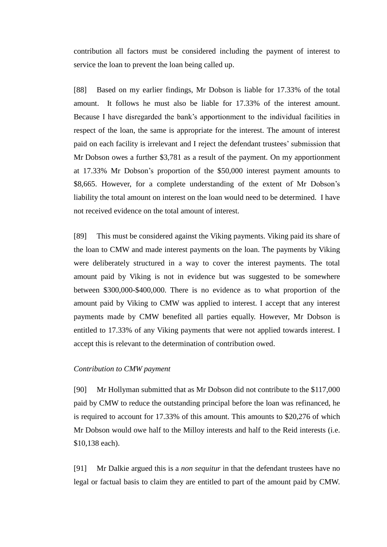contribution all factors must be considered including the payment of interest to service the loan to prevent the loan being called up.

[88] Based on my earlier findings, Mr Dobson is liable for 17.33% of the total amount. It follows he must also be liable for 17.33% of the interest amount. Because I have disregarded the bank's apportionment to the individual facilities in respect of the loan, the same is appropriate for the interest. The amount of interest paid on each facility is irrelevant and I reject the defendant trustees' submission that Mr Dobson owes a further \$3,781 as a result of the payment. On my apportionment at 17.33% Mr Dobson's proportion of the \$50,000 interest payment amounts to \$8,665. However, for a complete understanding of the extent of Mr Dobson's liability the total amount on interest on the loan would need to be determined. I have not received evidence on the total amount of interest.

[89] This must be considered against the Viking payments. Viking paid its share of the loan to CMW and made interest payments on the loan. The payments by Viking were deliberately structured in a way to cover the interest payments. The total amount paid by Viking is not in evidence but was suggested to be somewhere between \$300,000-\$400,000. There is no evidence as to what proportion of the amount paid by Viking to CMW was applied to interest. I accept that any interest payments made by CMW benefited all parties equally. However, Mr Dobson is entitled to 17.33% of any Viking payments that were not applied towards interest. I accept this is relevant to the determination of contribution owed.

# <span id="page-23-1"></span><span id="page-23-0"></span>*Contribution to CMW payment*

[90] Mr Hollyman submitted that as Mr Dobson did not contribute to the \$117,000 paid by CMW to reduce the outstanding principal before the loan was refinanced, he is required to account for 17.33% of this amount. This amounts to \$20,276 of which Mr Dobson would owe half to the Milloy interests and half to the Reid interests (i.e. \$10,138 each).

[91] Mr Dalkie argued this is a *non sequitur* in that the defendant trustees have no legal or factual basis to claim they are entitled to part of the amount paid by CMW.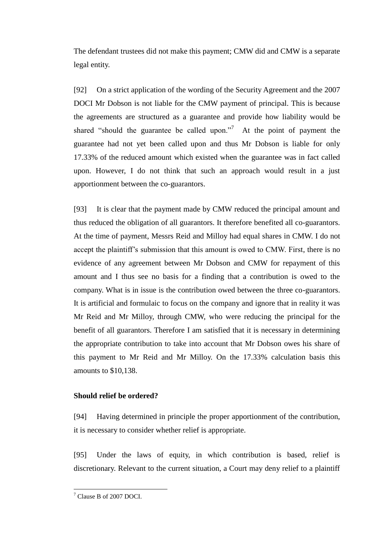The defendant trustees did not make this payment; CMW did and CMW is a separate legal entity.

[92] On a strict application of the wording of the Security Agreement and the 2007 DOCI Mr Dobson is not liable for the CMW payment of principal. This is because the agreements are structured as a guarantee and provide how liability would be shared "should the guarantee be called upon."<sup>7</sup> At the point of payment the guarantee had not yet been called upon and thus Mr Dobson is liable for only 17.33% of the reduced amount which existed when the guarantee was in fact called upon. However, I do not think that such an approach would result in a just apportionment between the co-guarantors.

[93] It is clear that the payment made by CMW reduced the principal amount and thus reduced the obligation of all guarantors. It therefore benefited all co-guarantors. At the time of payment, Messrs Reid and Milloy had equal shares in CMW. I do not accept the plaintiff's submission that this amount is owed to CMW. First, there is no evidence of any agreement between Mr Dobson and CMW for repayment of this amount and I thus see no basis for a finding that a contribution is owed to the company. What is in issue is the contribution owed between the three co-guarantors. It is artificial and formulaic to focus on the company and ignore that in reality it was Mr Reid and Mr Milloy, through CMW, who were reducing the principal for the benefit of all guarantors. Therefore I am satisfied that it is necessary in determining the appropriate contribution to take into account that Mr Dobson owes his share of this payment to Mr Reid and Mr Milloy. On the 17.33% calculation basis this amounts to \$10,138.

# <span id="page-24-1"></span><span id="page-24-0"></span>**Should relief be ordered?**

[94] Having determined in principle the proper apportionment of the contribution, it is necessary to consider whether relief is appropriate.

[95] Under the laws of equity, in which contribution is based, relief is discretionary. Relevant to the current situation, a Court may deny relief to a plaintiff

<sup>&</sup>lt;sup>7</sup> Clause B of 2007 DOCI.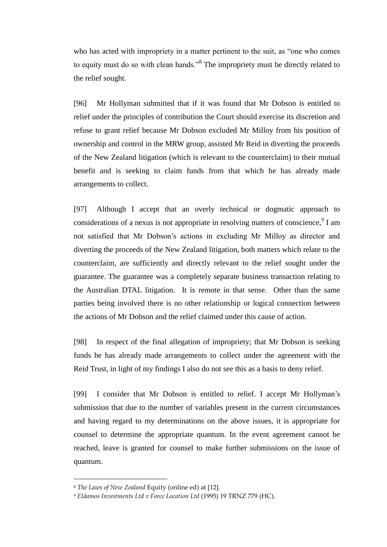who has acted with impropriety in a matter pertinent to the suit, as "one who comes to equity must do so with clean hands."<sup>8</sup> The impropriety must be directly related to the relief sought.

[96] Mr Hollyman submitted that if it was found that Mr Dobson is entitled to relief under the principles of contribution the Court should exercise its discretion and refuse to grant relief because Mr Dobson excluded Mr Milloy from his position of ownership and control in the MRW group, assisted Mr Reid in diverting the proceeds of the New Zealand litigation (which is relevant to the counterclaim) to their mutual benefit and is seeking to claim funds from that which he has already made arrangements to collect.

[97] Although I accept that an overly technical or dogmatic approach to considerations of a nexus is not appropriate in resolving matters of conscience,  $9$  I am not satisfied that Mr Dobson's actions in excluding Mr Milloy as director and diverting the proceeds of the New Zealand litigation, both matters which relate to the counterclaim, are sufficiently and directly relevant to the relief sought under the guarantee. The guarantee was a completely separate business transaction relating to the Australian DTAL litigation. It is remote in that sense. Other than the same parties being involved there is no other relationship or logical connection between the actions of Mr Dobson and the relief claimed under this cause of action.

[98] In respect of the final allegation of impropriety; that Mr Dobson is seeking funds he has already made arrangements to collect under the agreement with the Reid Trust, in light of my findings I also do not see this as a basis to deny relief.

[99] I consider that Mr Dobson is entitled to relief. I accept Mr Hollyman's submission that due to the number of variables present in the current circumstances and having regard to my determinations on the above issues, it is appropriate for counsel to determine the appropriate quantum. In the event agreement cannot be reached, leave is granted for counsel to make further submissions on the issue of quantum.

<sup>8</sup> *The Laws of New Zealand* Equity (online ed) at [12].

<sup>9</sup> *Eldamos Investments Ltd v Force Location Ltd* (1995) 19 TRNZ 779 (HC).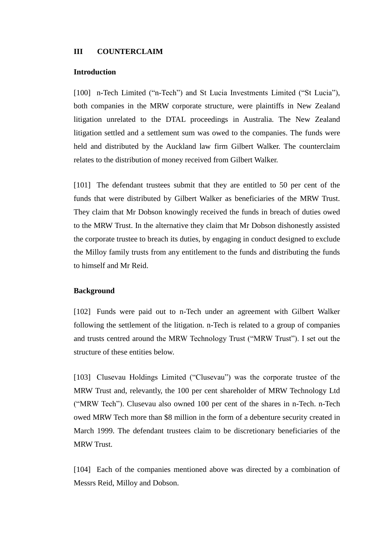#### <span id="page-26-1"></span><span id="page-26-0"></span>**III COUNTERCLAIM**

#### <span id="page-26-2"></span>**Introduction**

[100] n-Tech Limited ("n-Tech") and St Lucia Investments Limited ("St Lucia"), both companies in the MRW corporate structure, were plaintiffs in New Zealand litigation unrelated to the DTAL proceedings in Australia. The New Zealand litigation settled and a settlement sum was owed to the companies. The funds were held and distributed by the Auckland law firm Gilbert Walker. The counterclaim relates to the distribution of money received from Gilbert Walker.

[101] The defendant trustees submit that they are entitled to 50 per cent of the funds that were distributed by Gilbert Walker as beneficiaries of the MRW Trust. They claim that Mr Dobson knowingly received the funds in breach of duties owed to the MRW Trust. In the alternative they claim that Mr Dobson dishonestly assisted the corporate trustee to breach its duties, by engaging in conduct designed to exclude the Milloy family trusts from any entitlement to the funds and distributing the funds to himself and Mr Reid.

#### <span id="page-26-4"></span><span id="page-26-3"></span>**Background**

[102] Funds were paid out to n-Tech under an agreement with Gilbert Walker following the settlement of the litigation. n-Tech is related to a group of companies and trusts centred around the MRW Technology Trust ("MRW Trust"). I set out the structure of these entities below.

[103] Clusevau Holdings Limited ("Clusevau") was the corporate trustee of the MRW Trust and, relevantly, the 100 per cent shareholder of MRW Technology Ltd ("MRW Tech"). Clusevau also owned 100 per cent of the shares in n-Tech. n-Tech owed MRW Tech more than \$8 million in the form of a debenture security created in March 1999. The defendant trustees claim to be discretionary beneficiaries of the MRW Trust.

[104] Each of the companies mentioned above was directed by a combination of Messrs Reid, Milloy and Dobson.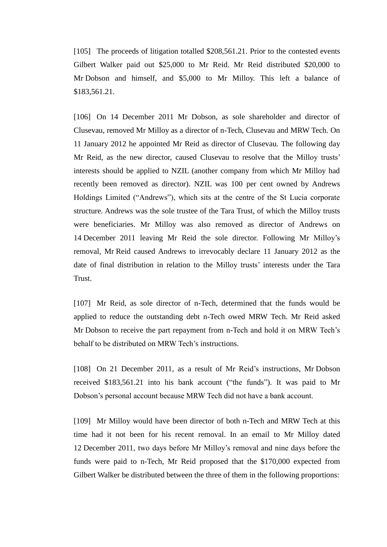[105] The proceeds of litigation totalled \$208,561.21. Prior to the contested events Gilbert Walker paid out \$25,000 to Mr Reid. Mr Reid distributed \$20,000 to Mr Dobson and himself, and \$5,000 to Mr Milloy. This left a balance of \$183,561.21.

[106] On 14 December 2011 Mr Dobson, as sole shareholder and director of Clusevau, removed Mr Milloy as a director of n-Tech, Clusevau and MRW Tech. On 11 January 2012 he appointed Mr Reid as director of Clusevau. The following day Mr Reid, as the new director, caused Clusevau to resolve that the Milloy trusts' interests should be applied to NZIL (another company from which Mr Milloy had recently been removed as director). NZIL was 100 per cent owned by Andrews Holdings Limited ("Andrews"), which sits at the centre of the St Lucia corporate structure. Andrews was the sole trustee of the Tara Trust, of which the Milloy trusts were beneficiaries. Mr Milloy was also removed as director of Andrews on 14 December 2011 leaving Mr Reid the sole director. Following Mr Milloy's removal, Mr Reid caused Andrews to irrevocably declare 11 January 2012 as the date of final distribution in relation to the Milloy trusts' interests under the Tara Trust.

[107] Mr Reid, as sole director of n-Tech, determined that the funds would be applied to reduce the outstanding debt n-Tech owed MRW Tech. Mr Reid asked Mr Dobson to receive the part repayment from n-Tech and hold it on MRW Tech's behalf to be distributed on MRW Tech's instructions.

[108] On 21 December 2011, as a result of Mr Reid's instructions, Mr Dobson received \$183,561.21 into his bank account ("the funds"). It was paid to Mr Dobson's personal account because MRW Tech did not have a bank account.

[109] Mr Milloy would have been director of both n-Tech and MRW Tech at this time had it not been for his recent removal. In an email to Mr Milloy dated 12 December 2011, two days before Mr Milloy's removal and nine days before the funds were paid to n-Tech, Mr Reid proposed that the \$170,000 expected from Gilbert Walker be distributed between the three of them in the following proportions: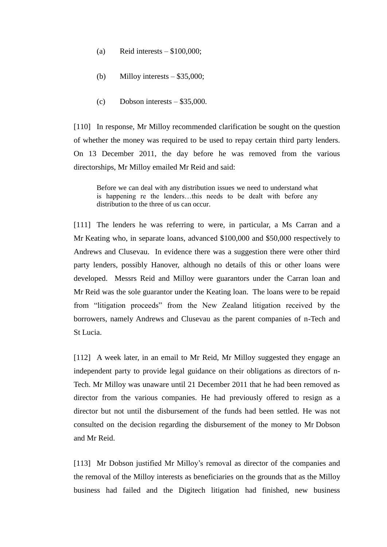- (a) Reid interests  $-$  \$100,000;
- (b) Milloy interests  $-$  \$35,000;
- (c) Dobson interests \$35,000.

[110] In response, Mr Milloy recommended clarification be sought on the question of whether the money was required to be used to repay certain third party lenders. On 13 December 2011, the day before he was removed from the various directorships, Mr Milloy emailed Mr Reid and said:

Before we can deal with any distribution issues we need to understand what is happening re the lenders…this needs to be dealt with before any distribution to the three of us can occur.

[111] The lenders he was referring to were, in particular, a Ms Carran and a Mr Keating who, in separate loans, advanced \$100,000 and \$50,000 respectively to Andrews and Clusevau. In evidence there was a suggestion there were other third party lenders, possibly Hanover, although no details of this or other loans were developed. Messrs Reid and Milloy were guarantors under the Carran loan and Mr Reid was the sole guarantor under the Keating loan. The loans were to be repaid from "litigation proceeds" from the New Zealand litigation received by the borrowers, namely Andrews and Clusevau as the parent companies of n-Tech and St Lucia.

[112] A week later, in an email to Mr Reid, Mr Milloy suggested they engage an independent party to provide legal guidance on their obligations as directors of n-Tech. Mr Milloy was unaware until 21 December 2011 that he had been removed as director from the various companies. He had previously offered to resign as a director but not until the disbursement of the funds had been settled. He was not consulted on the decision regarding the disbursement of the money to Mr Dobson and Mr Reid.

[113] Mr Dobson justified Mr Milloy's removal as director of the companies and the removal of the Milloy interests as beneficiaries on the grounds that as the Milloy business had failed and the Digitech litigation had finished, new business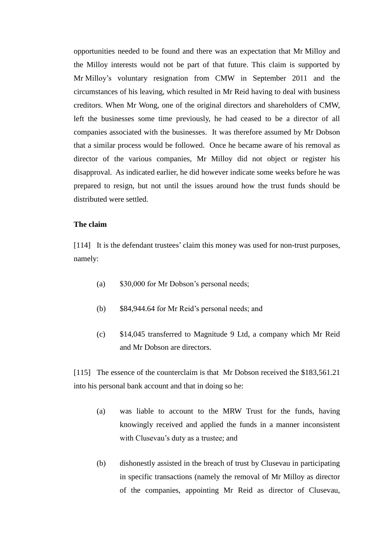opportunities needed to be found and there was an expectation that Mr Milloy and the Milloy interests would not be part of that future. This claim is supported by Mr Milloy's voluntary resignation from CMW in September 2011 and the circumstances of his leaving, which resulted in Mr Reid having to deal with business creditors. When Mr Wong, one of the original directors and shareholders of CMW, left the businesses some time previously, he had ceased to be a director of all companies associated with the businesses. It was therefore assumed by Mr Dobson that a similar process would be followed. Once he became aware of his removal as director of the various companies, Mr Milloy did not object or register his disapproval. As indicated earlier, he did however indicate some weeks before he was prepared to resign, but not until the issues around how the trust funds should be distributed were settled.

# <span id="page-29-1"></span><span id="page-29-0"></span>**The claim**

[114] It is the defendant trustees' claim this money was used for non-trust purposes, namely:

- (a) \$30,000 for Mr Dobson's personal needs;
- (b) \$84,944.64 for Mr Reid's personal needs; and
- (c) \$14,045 transferred to Magnitude 9 Ltd, a company which Mr Reid and Mr Dobson are directors.

[115] The essence of the counterclaim is that Mr Dobson received the \$183,561.21 into his personal bank account and that in doing so he:

- (a) was liable to account to the MRW Trust for the funds, having knowingly received and applied the funds in a manner inconsistent with Clusevau's duty as a trustee; and
- (b) dishonestly assisted in the breach of trust by Clusevau in participating in specific transactions (namely the removal of Mr Milloy as director of the companies, appointing Mr Reid as director of Clusevau,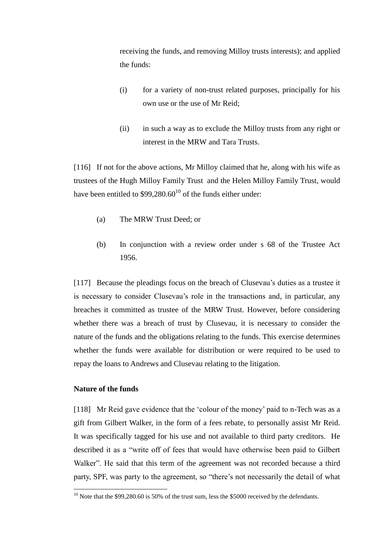receiving the funds, and removing Milloy trusts interests); and applied the funds:

- (i) for a variety of non-trust related purposes, principally for his own use or the use of Mr Reid;
- (ii) in such a way as to exclude the Milloy trusts from any right or interest in the MRW and Tara Trusts.

[116] If not for the above actions, Mr Milloy claimed that he, along with his wife as trustees of the Hugh Milloy Family Trust and the Helen Milloy Family Trust, would have been entitled to  $$99,280.60^{10}$  of the funds either under:

- (a) The MRW Trust Deed; or
- (b) In conjunction with a review order under s 68 of the Trustee Act 1956.

[117] Because the pleadings focus on the breach of Clusevau's duties as a trustee it is necessary to consider Clusevau's role in the transactions and, in particular, any breaches it committed as trustee of the MRW Trust. However, before considering whether there was a breach of trust by Clusevau, it is necessary to consider the nature of the funds and the obligations relating to the funds. This exercise determines whether the funds were available for distribution or were required to be used to repay the loans to Andrews and Clusevau relating to the litigation.

# <span id="page-30-1"></span><span id="page-30-0"></span>**Nature of the funds**

 $\overline{a}$ 

[118] Mr Reid gave evidence that the 'colour of the money' paid to n-Tech was as a gift from Gilbert Walker, in the form of a fees rebate, to personally assist Mr Reid. It was specifically tagged for his use and not available to third party creditors. He described it as a "write off of fees that would have otherwise been paid to Gilbert Walker". He said that this term of the agreement was not recorded because a third party, SPF, was party to the agreement, so "there's not necessarily the detail of what

 $10$  Note that the \$99,280.60 is 50% of the trust sum, less the \$5000 received by the defendants.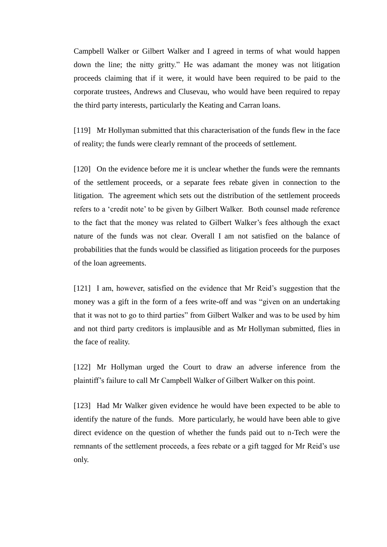Campbell Walker or Gilbert Walker and I agreed in terms of what would happen down the line; the nitty gritty." He was adamant the money was not litigation proceeds claiming that if it were, it would have been required to be paid to the corporate trustees, Andrews and Clusevau, who would have been required to repay the third party interests, particularly the Keating and Carran loans.

[119] Mr Hollyman submitted that this characterisation of the funds flew in the face of reality; the funds were clearly remnant of the proceeds of settlement.

[120] On the evidence before me it is unclear whether the funds were the remnants of the settlement proceeds, or a separate fees rebate given in connection to the litigation. The agreement which sets out the distribution of the settlement proceeds refers to a 'credit note' to be given by Gilbert Walker. Both counsel made reference to the fact that the money was related to Gilbert Walker's fees although the exact nature of the funds was not clear. Overall I am not satisfied on the balance of probabilities that the funds would be classified as litigation proceeds for the purposes of the loan agreements.

[121] I am, however, satisfied on the evidence that Mr Reid's suggestion that the money was a gift in the form of a fees write-off and was "given on an undertaking that it was not to go to third parties" from Gilbert Walker and was to be used by him and not third party creditors is implausible and as Mr Hollyman submitted, flies in the face of reality.

[122] Mr Hollyman urged the Court to draw an adverse inference from the plaintiff's failure to call Mr Campbell Walker of Gilbert Walker on this point.

[123] Had Mr Walker given evidence he would have been expected to be able to identify the nature of the funds. More particularly, he would have been able to give direct evidence on the question of whether the funds paid out to n-Tech were the remnants of the settlement proceeds, a fees rebate or a gift tagged for Mr Reid's use only.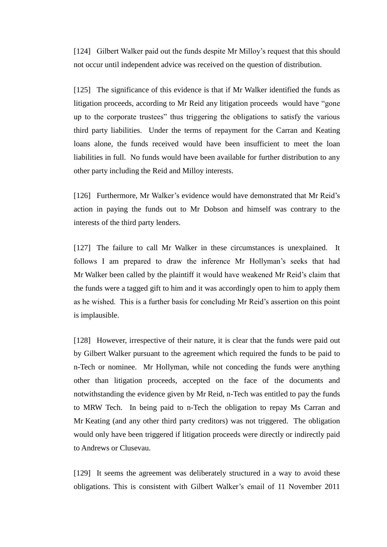[124] Gilbert Walker paid out the funds despite Mr Milloy's request that this should not occur until independent advice was received on the question of distribution.

[125] The significance of this evidence is that if Mr Walker identified the funds as litigation proceeds, according to Mr Reid any litigation proceeds would have "gone up to the corporate trustees" thus triggering the obligations to satisfy the various third party liabilities. Under the terms of repayment for the Carran and Keating loans alone, the funds received would have been insufficient to meet the loan liabilities in full. No funds would have been available for further distribution to any other party including the Reid and Milloy interests.

[126] Furthermore, Mr Walker's evidence would have demonstrated that Mr Reid's action in paying the funds out to Mr Dobson and himself was contrary to the interests of the third party lenders.

[127] The failure to call Mr Walker in these circumstances is unexplained. It follows I am prepared to draw the inference Mr Hollyman's seeks that had Mr Walker been called by the plaintiff it would have weakened Mr Reid's claim that the funds were a tagged gift to him and it was accordingly open to him to apply them as he wished. This is a further basis for concluding Mr Reid's assertion on this point is implausible.

[128] However, irrespective of their nature, it is clear that the funds were paid out by Gilbert Walker pursuant to the agreement which required the funds to be paid to n-Tech or nominee. Mr Hollyman, while not conceding the funds were anything other than litigation proceeds, accepted on the face of the documents and notwithstanding the evidence given by Mr Reid, n-Tech was entitled to pay the funds to MRW Tech. In being paid to n-Tech the obligation to repay Ms Carran and Mr Keating (and any other third party creditors) was not triggered. The obligation would only have been triggered if litigation proceeds were directly or indirectly paid to Andrews or Clusevau.

[129] It seems the agreement was deliberately structured in a way to avoid these obligations. This is consistent with Gilbert Walker's email of 11 November 2011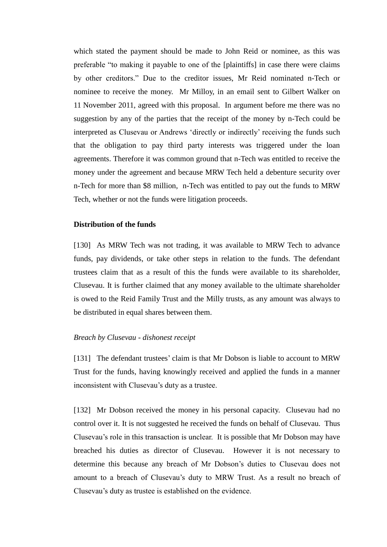which stated the payment should be made to John Reid or nominee, as this was preferable "to making it payable to one of the [plaintiffs] in case there were claims by other creditors." Due to the creditor issues, Mr Reid nominated n-Tech or nominee to receive the money. Mr Milloy, in an email sent to Gilbert Walker on 11 November 2011, agreed with this proposal. In argument before me there was no suggestion by any of the parties that the receipt of the money by n-Tech could be interpreted as Clusevau or Andrews 'directly or indirectly' receiving the funds such that the obligation to pay third party interests was triggered under the loan agreements. Therefore it was common ground that n-Tech was entitled to receive the money under the agreement and because MRW Tech held a debenture security over n-Tech for more than \$8 million, n-Tech was entitled to pay out the funds to MRW Tech, whether or not the funds were litigation proceeds.

# <span id="page-33-1"></span><span id="page-33-0"></span>**Distribution of the funds**

[130] As MRW Tech was not trading, it was available to MRW Tech to advance funds, pay dividends, or take other steps in relation to the funds. The defendant trustees claim that as a result of this the funds were available to its shareholder, Clusevau. It is further claimed that any money available to the ultimate shareholder is owed to the Reid Family Trust and the Milly trusts, as any amount was always to be distributed in equal shares between them.

#### <span id="page-33-3"></span><span id="page-33-2"></span>*Breach by Clusevau - dishonest receipt*

[131] The defendant trustees' claim is that Mr Dobson is liable to account to MRW Trust for the funds, having knowingly received and applied the funds in a manner inconsistent with Clusevau's duty as a trustee.

[132] Mr Dobson received the money in his personal capacity. Clusevau had no control over it. It is not suggested he received the funds on behalf of Clusevau. Thus Clusevau's role in this transaction is unclear. It is possible that Mr Dobson may have breached his duties as director of Clusevau. However it is not necessary to determine this because any breach of Mr Dobson's duties to Clusevau does not amount to a breach of Clusevau's duty to MRW Trust. As a result no breach of Clusevau's duty as trustee is established on the evidence.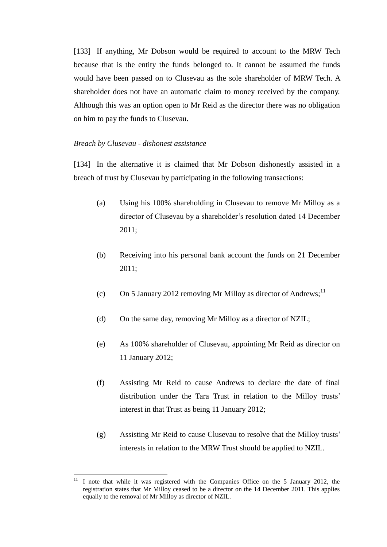[133] If anything, Mr Dobson would be required to account to the MRW Tech because that is the entity the funds belonged to. It cannot be assumed the funds would have been passed on to Clusevau as the sole shareholder of MRW Tech. A shareholder does not have an automatic claim to money received by the company. Although this was an option open to Mr Reid as the director there was no obligation on him to pay the funds to Clusevau.

#### <span id="page-34-1"></span><span id="page-34-0"></span>*Breach by Clusevau - dishonest assistance*

 $\overline{a}$ 

[134] In the alternative it is claimed that Mr Dobson dishonestly assisted in a breach of trust by Clusevau by participating in the following transactions:

- (a) Using his 100% shareholding in Clusevau to remove Mr Milloy as a director of Clusevau by a shareholder's resolution dated 14 December 2011;
- (b) Receiving into his personal bank account the funds on 21 December 2011;
- (c) On 5 January 2012 removing Mr Milloy as director of Andrews;<sup>11</sup>
- (d) On the same day, removing Mr Milloy as a director of NZIL;
- (e) As 100% shareholder of Clusevau, appointing Mr Reid as director on 11 January 2012;
- (f) Assisting Mr Reid to cause Andrews to declare the date of final distribution under the Tara Trust in relation to the Milloy trusts' interest in that Trust as being 11 January 2012;
- (g) Assisting Mr Reid to cause Clusevau to resolve that the Milloy trusts' interests in relation to the MRW Trust should be applied to NZIL.

I note that while it was registered with the Companies Office on the 5 January 2012, the registration states that Mr Milloy ceased to be a director on the 14 December 2011. This applies equally to the removal of Mr Milloy as director of NZIL.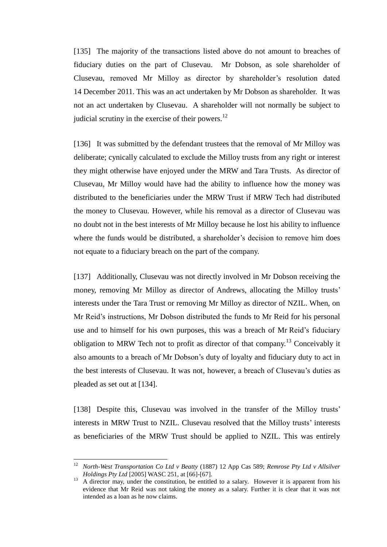[135] The majority of the transactions listed above do not amount to breaches of fiduciary duties on the part of Clusevau. Mr Dobson, as sole shareholder of Clusevau, removed Mr Milloy as director by shareholder's resolution dated 14 December 2011. This was an act undertaken by Mr Dobson as shareholder. It was not an act undertaken by Clusevau. A shareholder will not normally be subject to judicial scrutiny in the exercise of their powers.<sup>12</sup>

[136] It was submitted by the defendant trustees that the removal of Mr Milloy was deliberate; cynically calculated to exclude the Milloy trusts from any right or interest they might otherwise have enjoyed under the MRW and Tara Trusts. As director of Clusevau, Mr Milloy would have had the ability to influence how the money was distributed to the beneficiaries under the MRW Trust if MRW Tech had distributed the money to Clusevau. However, while his removal as a director of Clusevau was no doubt not in the best interests of Mr Milloy because he lost his ability to influence where the funds would be distributed, a shareholder's decision to remove him does not equate to a fiduciary breach on the part of the company.

[137] Additionally, Clusevau was not directly involved in Mr Dobson receiving the money, removing Mr Milloy as director of Andrews, allocating the Milloy trusts' interests under the Tara Trust or removing Mr Milloy as director of NZIL. When, on Mr Reid's instructions, Mr Dobson distributed the funds to Mr Reid for his personal use and to himself for his own purposes, this was a breach of Mr Reid's fiduciary obligation to MRW Tech not to profit as director of that company.<sup>13</sup> Conceivably it also amounts to a breach of Mr Dobson's duty of loyalty and fiduciary duty to act in the best interests of Clusevau. It was not, however, a breach of Clusevau's duties as pleaded as set out at [134].

[138] Despite this, Clusevau was involved in the transfer of the Milloy trusts' interests in MRW Trust to NZIL. Clusevau resolved that the Milloy trusts' interests as beneficiaries of the MRW Trust should be applied to NZIL. This was entirely

<sup>12</sup> *North-West Transportation Co Ltd v Beatty* (1887) 12 App Cas 589; *Remrose Pty Ltd v Allsilver Holdings Pty Ltd* [2005] WASC 251, at [66]-[67].

<sup>&</sup>lt;sup>13</sup> A director may, under the constitution, be entitled to a salary. However it is apparent from his evidence that Mr Reid was not taking the money as a salary. Further it is clear that it was not intended as a loan as he now claims.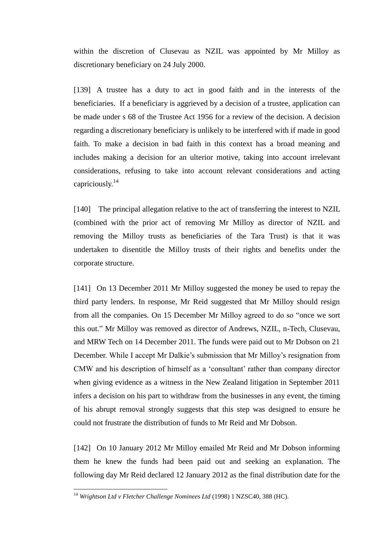within the discretion of Clusevau as NZIL was appointed by Mr Milloy as discretionary beneficiary on 24 July 2000.

[139] A trustee has a duty to act in good faith and in the interests of the beneficiaries. If a beneficiary is aggrieved by a decision of a trustee, application can be made under s 68 of the Trustee Act 1956 for a review of the decision. A decision regarding a discretionary beneficiary is unlikely to be interfered with if made in good faith. To make a decision in bad faith in this context has a broad meaning and includes making a decision for an ulterior motive, taking into account irrelevant considerations, refusing to take into account relevant considerations and acting capriciously.<sup>14</sup>

[140] The principal allegation relative to the act of transferring the interest to NZIL (combined with the prior act of removing Mr Milloy as director of NZIL and removing the Milloy trusts as beneficiaries of the Tara Trust) is that it was undertaken to disentitle the Milloy trusts of their rights and benefits under the corporate structure.

[141] On 13 December 2011 Mr Milloy suggested the money be used to repay the third party lenders. In response, Mr Reid suggested that Mr Milloy should resign from all the companies. On 15 December Mr Milloy agreed to do so "once we sort this out." Mr Milloy was removed as director of Andrews, NZIL, n-Tech, Clusevau, and MRW Tech on 14 December 2011. The funds were paid out to Mr Dobson on 21 December. While I accept Mr Dalkie's submission that Mr Milloy's resignation from CMW and his description of himself as a 'consultant' rather than company director when giving evidence as a witness in the New Zealand litigation in September 2011 infers a decision on his part to withdraw from the businesses in any event, the timing of his abrupt removal strongly suggests that this step was designed to ensure he could not frustrate the distribution of funds to Mr Reid and Mr Dobson.

[142] On 10 January 2012 Mr Milloy emailed Mr Reid and Mr Dobson informing them he knew the funds had been paid out and seeking an explanation. The following day Mr Reid declared 12 January 2012 as the final distribution date for the

<sup>&</sup>lt;sup>14</sup> Wrightson Ltd v Fletcher Challenge Nominees Ltd (1998) 1 NZSC40, 388 (HC).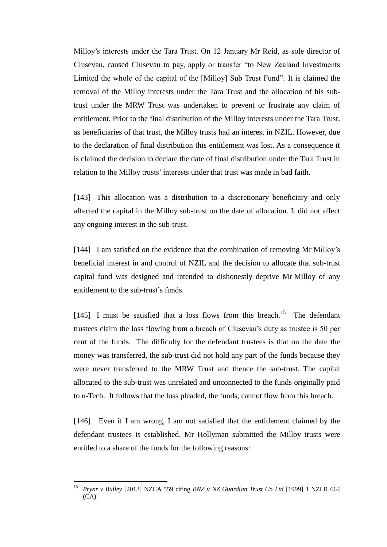Milloy's interests under the Tara Trust. On 12 January Mr Reid, as sole director of Clusevau, caused Clusevau to pay, apply or transfer "to New Zealand Investments Limited the whole of the capital of the [Milloy] Sub Trust Fund". It is claimed the removal of the Milloy interests under the Tara Trust and the allocation of his subtrust under the MRW Trust was undertaken to prevent or frustrate any claim of entitlement. Prior to the final distribution of the Milloy interests under the Tara Trust, as beneficiaries of that trust, the Milloy trusts had an interest in NZIL. However, due to the declaration of final distribution this entitlement was lost. As a consequence it is claimed the decision to declare the date of final distribution under the Tara Trust in relation to the Milloy trusts' interests under that trust was made in bad faith.

[143] This allocation was a distribution to a discretionary beneficiary and only affected the capital in the Milloy sub-trust on the date of allocation. It did not affect any ongoing interest in the sub-trust.

[144] I am satisfied on the evidence that the combination of removing Mr Milloy's beneficial interest in and control of NZIL and the decision to allocate that sub-trust capital fund was designed and intended to dishonestly deprive Mr Milloy of any entitlement to the sub-trust's funds.

[145] I must be satisfied that a loss flows from this breach.<sup>15</sup> The defendant trustees claim the loss flowing from a breach of Clusevau's duty as trustee is 50 per cent of the funds. The difficulty for the defendant trustees is that on the date the money was transferred, the sub-trust did not hold any part of the funds because they were never transferred to the MRW Trust and thence the sub-trust. The capital allocated to the sub-trust was unrelated and unconnected to the funds originally paid to n-Tech. It follows that the loss pleaded, the funds, cannot flow from this breach.

[146] Even if I am wrong, I am not satisfied that the entitlement claimed by the defendant trustees is established. Mr Hollyman submitted the Milloy trusts were entitled to a share of the funds for the following reasons:

<sup>15</sup> *Pryor v Bulley* [2013] NZCA 559 citing *BNZ v NZ Guardian Trust Co Ltd* [1999] 1 NZLR 664  $(CA)$ .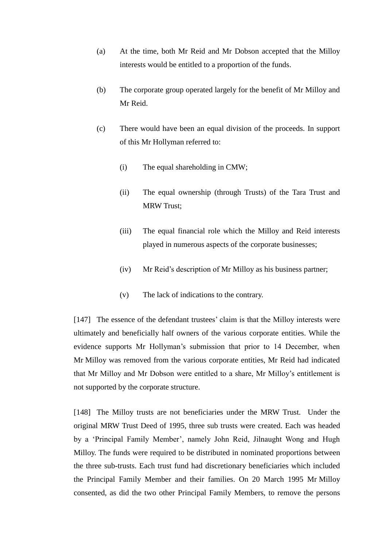- (a) At the time, both Mr Reid and Mr Dobson accepted that the Milloy interests would be entitled to a proportion of the funds.
- (b) The corporate group operated largely for the benefit of Mr Milloy and Mr Reid.
- (c) There would have been an equal division of the proceeds. In support of this Mr Hollyman referred to:
	- (i) The equal shareholding in CMW;
	- (ii) The equal ownership (through Trusts) of the Tara Trust and MRW Trust;
	- (iii) The equal financial role which the Milloy and Reid interests played in numerous aspects of the corporate businesses;
	- (iv) Mr Reid's description of Mr Milloy as his business partner;
	- (v) The lack of indications to the contrary.

[147] The essence of the defendant trustees' claim is that the Milloy interests were ultimately and beneficially half owners of the various corporate entities. While the evidence supports Mr Hollyman's submission that prior to 14 December, when Mr Milloy was removed from the various corporate entities, Mr Reid had indicated that Mr Milloy and Mr Dobson were entitled to a share, Mr Milloy's entitlement is not supported by the corporate structure.

[148] The Milloy trusts are not beneficiaries under the MRW Trust. Under the original MRW Trust Deed of 1995, three sub trusts were created. Each was headed by a 'Principal Family Member', namely John Reid, Jilnaught Wong and Hugh Milloy. The funds were required to be distributed in nominated proportions between the three sub-trusts. Each trust fund had discretionary beneficiaries which included the Principal Family Member and their families. On 20 March 1995 Mr Milloy consented, as did the two other Principal Family Members, to remove the persons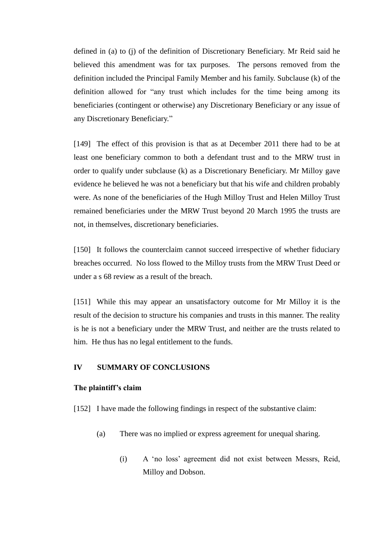defined in (a) to (j) of the definition of Discretionary Beneficiary. Mr Reid said he believed this amendment was for tax purposes. The persons removed from the definition included the Principal Family Member and his family. Subclause (k) of the definition allowed for "any trust which includes for the time being among its beneficiaries (contingent or otherwise) any Discretionary Beneficiary or any issue of any Discretionary Beneficiary."

[149] The effect of this provision is that as at December 2011 there had to be at least one beneficiary common to both a defendant trust and to the MRW trust in order to qualify under subclause (k) as a Discretionary Beneficiary. Mr Milloy gave evidence he believed he was not a beneficiary but that his wife and children probably were. As none of the beneficiaries of the Hugh Milloy Trust and Helen Milloy Trust remained beneficiaries under the MRW Trust beyond 20 March 1995 the trusts are not, in themselves, discretionary beneficiaries.

[150] It follows the counterclaim cannot succeed irrespective of whether fiduciary breaches occurred. No loss flowed to the Milloy trusts from the MRW Trust Deed or under a s 68 review as a result of the breach.

[151] While this may appear an unsatisfactory outcome for Mr Milloy it is the result of the decision to structure his companies and trusts in this manner. The reality is he is not a beneficiary under the MRW Trust, and neither are the trusts related to him. He thus has no legal entitlement to the funds.

# <span id="page-39-1"></span><span id="page-39-0"></span>**IV SUMMARY OF CONCLUSIONS**

#### <span id="page-39-2"></span>**The plaintiff's claim**

[152] I have made the following findings in respect of the substantive claim:

- (a) There was no implied or express agreement for unequal sharing.
	- (i) A 'no loss' agreement did not exist between Messrs, Reid, Milloy and Dobson.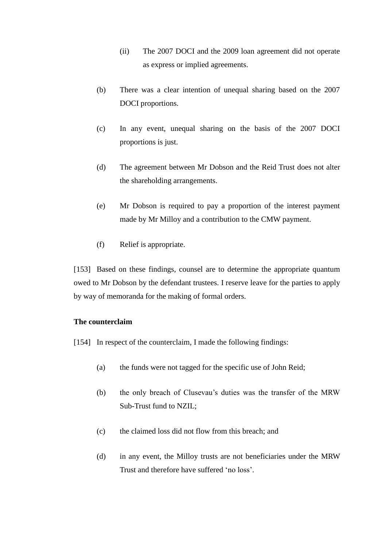- (ii) The 2007 DOCI and the 2009 loan agreement did not operate as express or implied agreements.
- (b) There was a clear intention of unequal sharing based on the 2007 DOCI proportions.
- (c) In any event, unequal sharing on the basis of the 2007 DOCI proportions is just.
- (d) The agreement between Mr Dobson and the Reid Trust does not alter the shareholding arrangements.
- (e) Mr Dobson is required to pay a proportion of the interest payment made by Mr Milloy and a contribution to the CMW payment.
- (f) Relief is appropriate.

[153] Based on these findings, counsel are to determine the appropriate quantum owed to Mr Dobson by the defendant trustees. I reserve leave for the parties to apply by way of memoranda for the making of formal orders.

# <span id="page-40-1"></span><span id="page-40-0"></span>**The counterclaim**

- [154] In respect of the counterclaim, I made the following findings:
	- (a) the funds were not tagged for the specific use of John Reid;
	- (b) the only breach of Clusevau's duties was the transfer of the MRW Sub-Trust fund to NZIL;
	- (c) the claimed loss did not flow from this breach; and
	- (d) in any event, the Milloy trusts are not beneficiaries under the MRW Trust and therefore have suffered 'no loss'.